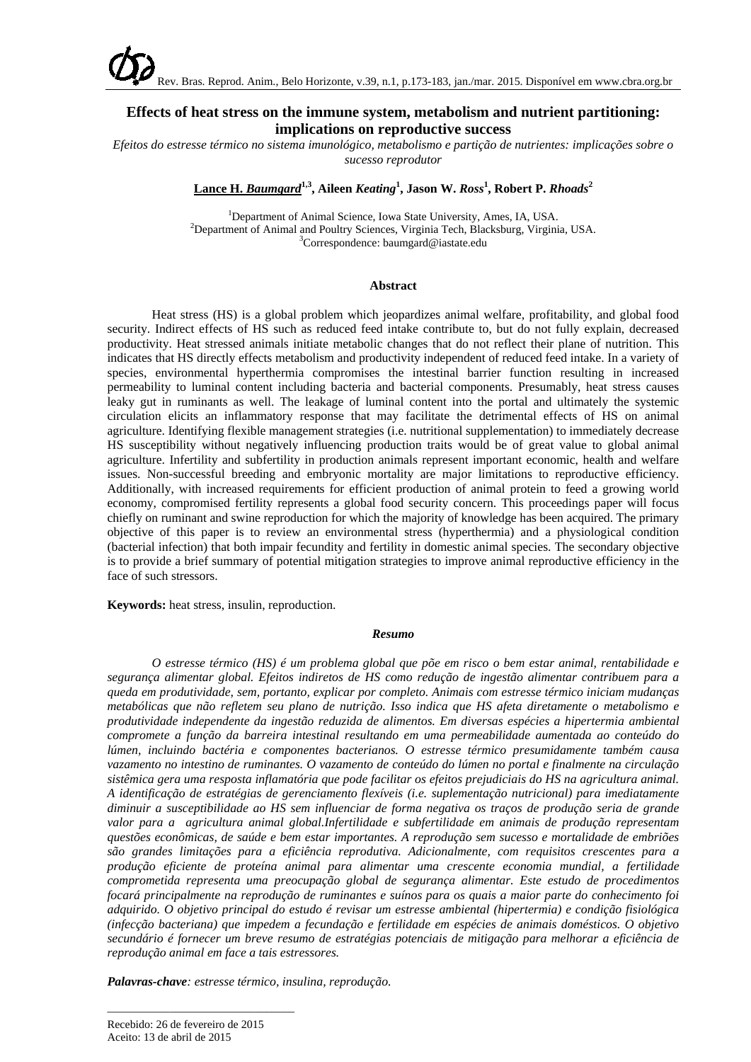# **Effects of heat stress on the immune system, metabolism and nutrient partitioning: implications on reproductive success**

*Efeitos do estresse térmico no sistema imunológico, metabolismo e partição de nutrientes: implicações sobre o sucesso reprodutor*

**Lance H.** *Baumgard* **1,3, Aileen** *Keating***<sup>1</sup> , Jason W.** *Ross***<sup>1</sup> , Robert P.** *Rhoads***<sup>2</sup>**

<sup>1</sup> Department of Animal Science, Iowa State University, Ames, IA, USA. <sup>2</sup>Department of Animal and Poultry Sciences, Virginia Tech, Blacksburg, Virginia, USA. Correspondence: baumgard@iastate.edu

# **Abstract**

Heat stress (HS) is a global problem which jeopardizes animal welfare, profitability, and global food security. Indirect effects of HS such as reduced feed intake contribute to, but do not fully explain, decreased productivity. Heat stressed animals initiate metabolic changes that do not reflect their plane of nutrition. This indicates that HS directly effects metabolism and productivity independent of reduced feed intake. In a variety of species, environmental hyperthermia compromises the intestinal barrier function resulting in increased permeability to luminal content including bacteria and bacterial components. Presumably, heat stress causes leaky gut in ruminants as well. The leakage of luminal content into the portal and ultimately the systemic circulation elicits an inflammatory response that may facilitate the detrimental effects of HS on animal agriculture. Identifying flexible management strategies (i.e. nutritional supplementation) to immediately decrease HS susceptibility without negatively influencing production traits would be of great value to global animal agriculture. Infertility and subfertility in production animals represent important economic, health and welfare issues. Non-successful breeding and embryonic mortality are major limitations to reproductive efficiency. Additionally, with increased requirements for efficient production of animal protein to feed a growing world economy, compromised fertility represents a global food security concern. This proceedings paper will focus chiefly on ruminant and swine reproduction for which the majority of knowledge has been acquired. The primary objective of this paper is to review an environmental stress (hyperthermia) and a physiological condition (bacterial infection) that both impair fecundity and fertility in domestic animal species. The secondary objective is to provide a brief summary of potential mitigation strategies to improve animal reproductive efficiency in the face of such stressors.

**Keywords:** heat stress, insulin, reproduction.

### *Resumo*

*O estresse térmico (HS) é um problema global que põe em risco o bem estar animal, rentabilidade e segurança alimentar global. Efeitos indiretos de HS como redução de ingestão alimentar contribuem para a queda em produtividade, sem, portanto, explicar por completo. Animais com estresse térmico iniciam mudanças metabólicas que não refletem seu plano de nutrição. Isso indica que HS afeta diretamente o metabolismo e produtividade independente da ingestão reduzida de alimentos. Em diversas espécies a hipertermia ambiental compromete a função da barreira intestinal resultando em uma permeabilidade aumentada ao conteúdo do lúmen, incluindo bactéria e componentes bacterianos. O estresse térmico presumidamente também causa vazamento no intestino de ruminantes. O vazamento de conteúdo do lúmen no portal e finalmente na circulação sistêmica gera uma resposta inflamatória que pode facilitar os efeitos prejudiciais do HS na agricultura animal. A identificação de estratégias de gerenciamento flexíveis (i.e. suplementação nutricional) para imediatamente diminuir a susceptibilidade ao HS sem influenciar de forma negativa os traços de produção seria de grande valor para a agricultura animal global.Infertilidade e subfertilidade em animais de produção representam questões econômicas, de saúde e bem estar importantes. A reprodução sem sucesso e mortalidade de embriões são grandes limitações para a eficiência reprodutiva. Adicionalmente, com requisitos crescentes para a produção eficiente de proteína animal para alimentar uma crescente economia mundial, a fertilidade comprometida representa uma preocupação global de segurança alimentar. Este estudo de procedimentos focará principalmente na reprodução de ruminantes e suínos para os quais a maior parte do conhecimento foi adquirido. O objetivo principal do estudo é revisar um estresse ambiental (hipertermia) e condição fisiológica (infecção bacteriana) que impedem a fecundação e fertilidade em espécies de animais domésticos. O objetivo secundário é fornecer um breve resumo de estratégias potenciais de mitigação para melhorar a eficiência de reprodução animal em face a tais estressores.* 

*Palavras-chave: estresse térmico, insulina, reprodução.*

\_\_\_\_\_\_\_\_\_\_\_\_\_\_\_\_\_\_\_\_\_\_\_\_\_\_\_\_\_\_\_\_\_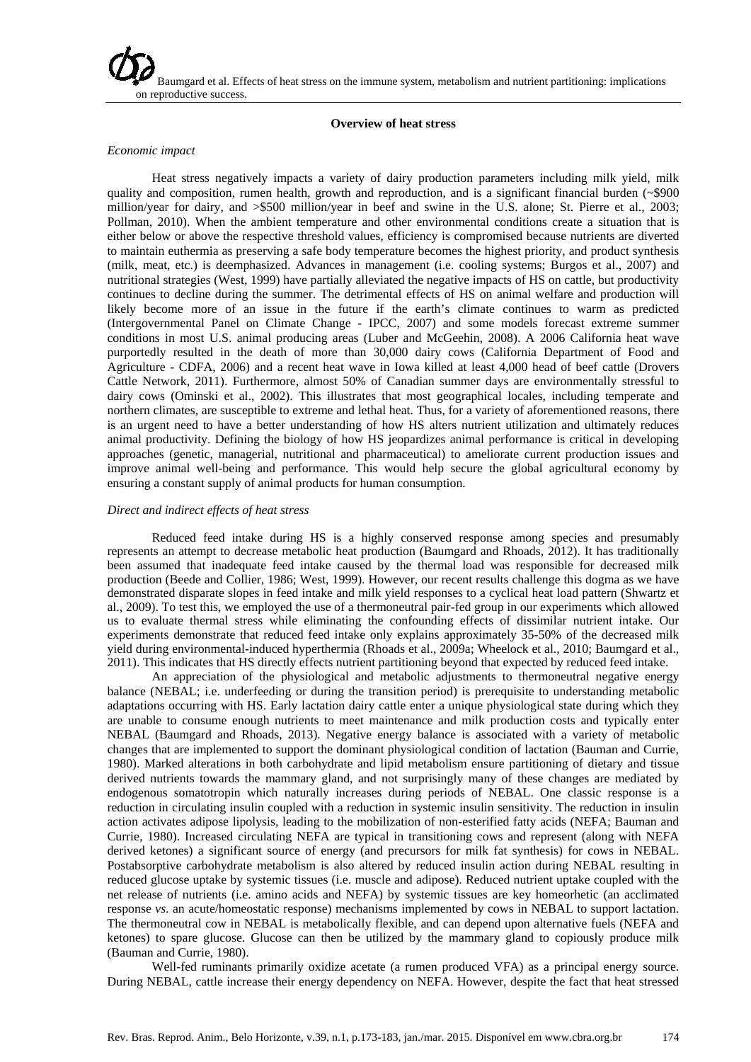### **Overview of heat stress**

#### *Economic impact*

Heat stress negatively impacts a variety of dairy production parameters including milk yield, milk quality and composition, rumen health, growth and reproduction, and is a significant financial burden (~\$900 million/year for dairy, and >\$500 million/year in beef and swine in the U.S. alone; St. Pierre et al., 2003; Pollman, 2010). When the ambient temperature and other environmental conditions create a situation that is either below or above the respective threshold values, efficiency is compromised because nutrients are diverted to maintain euthermia as preserving a safe body temperature becomes the highest priority, and product synthesis (milk, meat, etc.) is deemphasized. Advances in management (i.e. cooling systems; Burgos et al., 2007) and nutritional strategies (West, 1999) have partially alleviated the negative impacts of HS on cattle, but productivity continues to decline during the summer. The detrimental effects of HS on animal welfare and production will likely become more of an issue in the future if the earth's climate continues to warm as predicted (Intergovernmental Panel on Climate Change - IPCC, 2007) and some models forecast extreme summer conditions in most U.S. animal producing areas (Luber and McGeehin, 2008). A 2006 California heat wave purportedly resulted in the death of more than 30,000 dairy cows (California Department of Food and Agriculture - CDFA, 2006) and a recent heat wave in Iowa killed at least 4,000 head of beef cattle (Drovers Cattle Network, 2011). Furthermore, almost 50% of Canadian summer days are environmentally stressful to dairy cows (Ominski et al., 2002). This illustrates that most geographical locales, including temperate and northern climates, are susceptible to extreme and lethal heat. Thus, for a variety of aforementioned reasons, there is an urgent need to have a better understanding of how HS alters nutrient utilization and ultimately reduces animal productivity. Defining the biology of how HS jeopardizes animal performance is critical in developing approaches (genetic, managerial, nutritional and pharmaceutical) to ameliorate current production issues and improve animal well-being and performance. This would help secure the global agricultural economy by ensuring a constant supply of animal products for human consumption.

### *Direct and indirect effects of heat stress*

Reduced feed intake during HS is a highly conserved response among species and presumably represents an attempt to decrease metabolic heat production (Baumgard and Rhoads, 2012). It has traditionally been assumed that inadequate feed intake caused by the thermal load was responsible for decreased milk production (Beede and Collier, 1986; West, 1999). However, our recent results challenge this dogma as we have demonstrated disparate slopes in feed intake and milk yield responses to a cyclical heat load pattern (Shwartz et al., 2009). To test this, we employed the use of a thermoneutral pair-fed group in our experiments which allowed us to evaluate thermal stress while eliminating the confounding effects of dissimilar nutrient intake. Our experiments demonstrate that reduced feed intake only explains approximately 35-50% of the decreased milk yield during environmental-induced hyperthermia (Rhoads et al., 2009a; Wheelock et al., 2010; Baumgard et al., 2011). This indicates that HS directly effects nutrient partitioning beyond that expected by reduced feed intake.

An appreciation of the physiological and metabolic adjustments to thermoneutral negative energy balance (NEBAL; i.e. underfeeding or during the transition period) is prerequisite to understanding metabolic adaptations occurring with HS. Early lactation dairy cattle enter a unique physiological state during which they are unable to consume enough nutrients to meet maintenance and milk production costs and typically enter NEBAL (Baumgard and Rhoads, 2013). Negative energy balance is associated with a variety of metabolic changes that are implemented to support the dominant physiological condition of lactation (Bauman and Currie, 1980). Marked alterations in both carbohydrate and lipid metabolism ensure partitioning of dietary and tissue derived nutrients towards the mammary gland, and not surprisingly many of these changes are mediated by endogenous somatotropin which naturally increases during periods of NEBAL. One classic response is a reduction in circulating insulin coupled with a reduction in systemic insulin sensitivity. The reduction in insulin action activates adipose lipolysis, leading to the mobilization of non-esterified fatty acids (NEFA; Bauman and Currie, 1980). Increased circulating NEFA are typical in transitioning cows and represent (along with NEFA derived ketones) a significant source of energy (and precursors for milk fat synthesis) for cows in NEBAL. Postabsorptive carbohydrate metabolism is also altered by reduced insulin action during NEBAL resulting in reduced glucose uptake by systemic tissues (i.e. muscle and adipose). Reduced nutrient uptake coupled with the net release of nutrients (i.e. amino acids and NEFA) by systemic tissues are key homeorhetic (an acclimated response *vs*. an acute/homeostatic response) mechanisms implemented by cows in NEBAL to support lactation. The thermoneutral cow in NEBAL is metabolically flexible, and can depend upon alternative fuels (NEFA and ketones) to spare glucose. Glucose can then be utilized by the mammary gland to copiously produce milk (Bauman and Currie, 1980).

Well-fed ruminants primarily oxidize acetate (a rumen produced VFA) as a principal energy source. During NEBAL, cattle increase their energy dependency on NEFA. However, despite the fact that heat stressed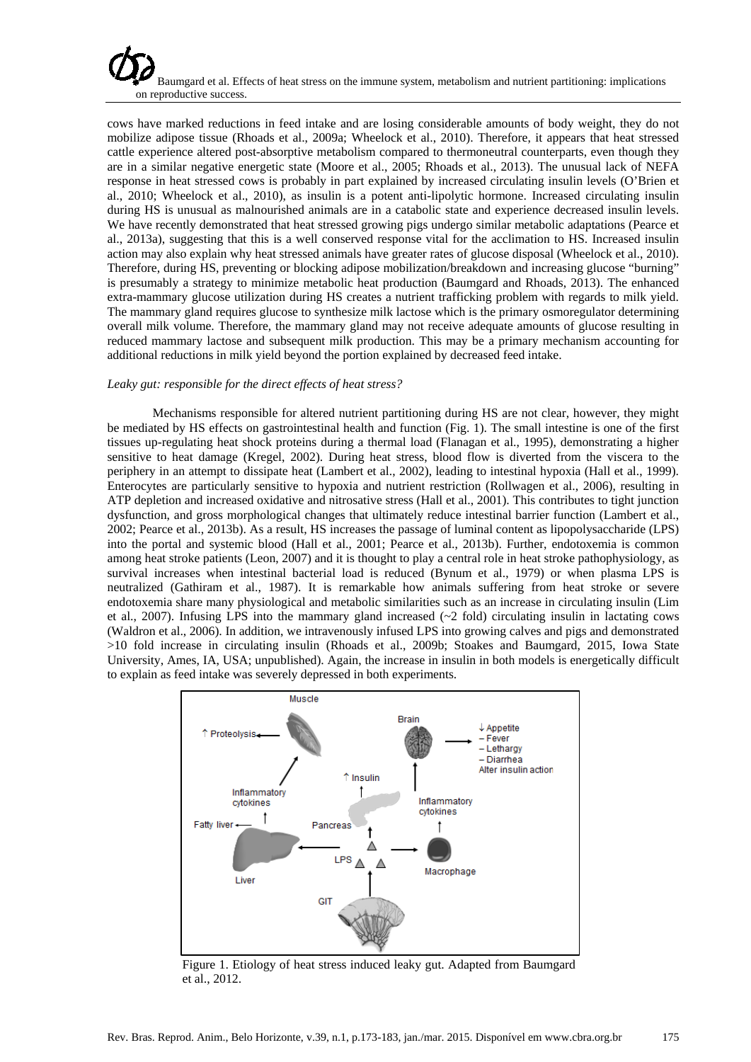

cows have marked reductions in feed intake and are losing considerable amounts of body weight, they do not mobilize adipose tissue (Rhoads et al., 2009a; Wheelock et al., 2010). Therefore, it appears that heat stressed cattle experience altered post-absorptive metabolism compared to thermoneutral counterparts, even though they are in a similar negative energetic state (Moore et al., 2005; Rhoads et al., 2013). The unusual lack of NEFA response in heat stressed cows is probably in part explained by increased circulating insulin levels (O'Brien et al., 2010; Wheelock et al., 2010), as insulin is a potent anti-lipolytic hormone. Increased circulating insulin during HS is unusual as malnourished animals are in a catabolic state and experience decreased insulin levels. We have recently demonstrated that heat stressed growing pigs undergo similar metabolic adaptations (Pearce et al., 2013a), suggesting that this is a well conserved response vital for the acclimation to HS. Increased insulin action may also explain why heat stressed animals have greater rates of glucose disposal (Wheelock et al., 2010). Therefore, during HS, preventing or blocking adipose mobilization/breakdown and increasing glucose "burning" is presumably a strategy to minimize metabolic heat production (Baumgard and Rhoads, 2013). The enhanced extra-mammary glucose utilization during HS creates a nutrient trafficking problem with regards to milk yield. The mammary gland requires glucose to synthesize milk lactose which is the primary osmoregulator determining overall milk volume. Therefore, the mammary gland may not receive adequate amounts of glucose resulting in reduced mammary lactose and subsequent milk production. This may be a primary mechanism accounting for additional reductions in milk yield beyond the portion explained by decreased feed intake.

### *Leaky gut: responsible for the direct effects of heat stress?*

Mechanisms responsible for altered nutrient partitioning during HS are not clear, however, they might be mediated by HS effects on gastrointestinal health and function (Fig. 1). The small intestine is one of the first tissues up-regulating heat shock proteins during a thermal load (Flanagan et al., 1995), demonstrating a higher sensitive to heat damage (Kregel, 2002). During heat stress, blood flow is diverted from the viscera to the periphery in an attempt to dissipate heat (Lambert et al., 2002), leading to intestinal hypoxia (Hall et al., 1999). Enterocytes are particularly sensitive to hypoxia and nutrient restriction (Rollwagen et al., 2006), resulting in ATP depletion and increased oxidative and nitrosative stress (Hall et al., 2001). This contributes to tight junction dysfunction, and gross morphological changes that ultimately reduce intestinal barrier function (Lambert et al., 2002; Pearce et al., 2013b). As a result, HS increases the passage of luminal content as lipopolysaccharide (LPS) into the portal and systemic blood (Hall et al., 2001; Pearce et al., 2013b). Further, endotoxemia is common among heat stroke patients (Leon, 2007) and it is thought to play a central role in heat stroke pathophysiology, as survival increases when intestinal bacterial load is reduced (Bynum et al., 1979) or when plasma LPS is neutralized (Gathiram et al., 1987). It is remarkable how animals suffering from heat stroke or severe endotoxemia share many physiological and metabolic similarities such as an increase in circulating insulin (Lim et al., 2007). Infusing LPS into the mammary gland increased (~2 fold) circulating insulin in lactating cows (Waldron et al., 2006). In addition, we intravenously infused LPS into growing calves and pigs and demonstrated >10 fold increase in circulating insulin (Rhoads et al., 2009b; Stoakes and Baumgard, 2015, Iowa State University, Ames, IA, USA; unpublished). Again, the increase in insulin in both models is energetically difficult to explain as feed intake was severely depressed in both experiments.



Figure 1. Etiology of heat stress induced leaky gut. Adapted from Baumgard et al., 2012.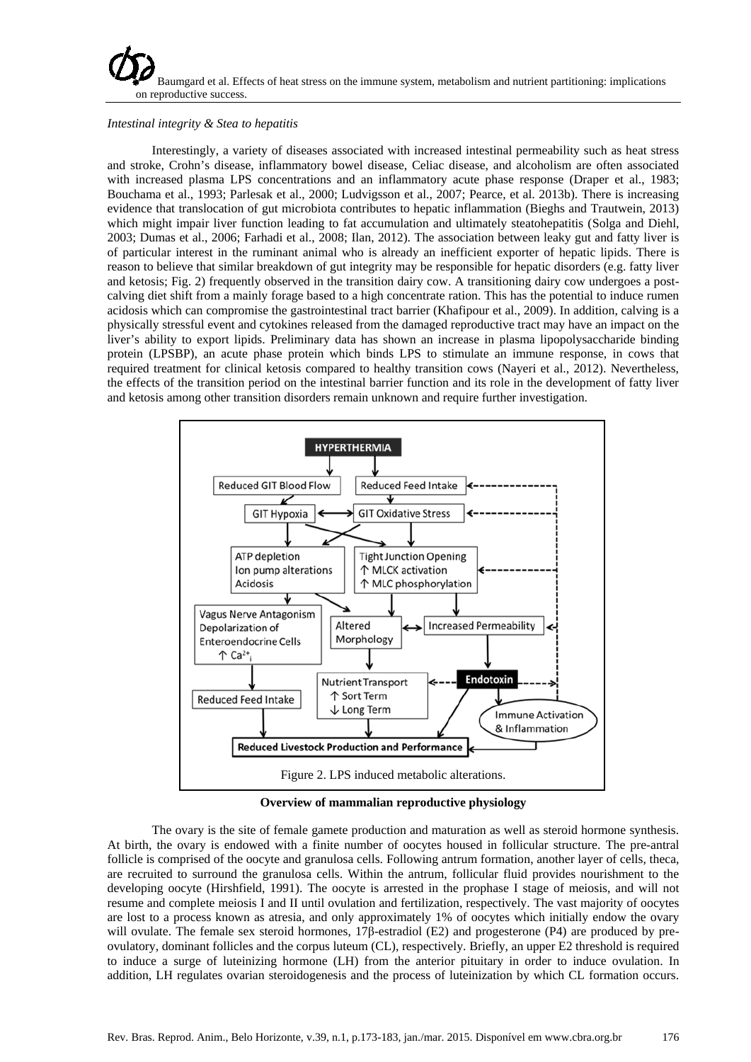

# *Intestinal integrity & Stea to hepatitis*

Interestingly, a variety of diseases associated with increased intestinal permeability such as heat stress and stroke, Crohn's disease, inflammatory bowel disease, Celiac disease, and alcoholism are often associated with increased plasma LPS concentrations and an inflammatory acute phase response (Draper et al., 1983; Bouchama et al., 1993; Parlesak et al., 2000; Ludvigsson et al., 2007; Pearce, et al. 2013b). There is increasing evidence that translocation of gut microbiota contributes to hepatic inflammation (Bieghs and Trautwein, 2013) which might impair liver function leading to fat accumulation and ultimately steatohepatitis (Solga and Diehl, 2003; Dumas et al., 2006; Farhadi et al., 2008; Ilan, 2012). The association between leaky gut and fatty liver is of particular interest in the ruminant animal who is already an inefficient exporter of hepatic lipids. There is reason to believe that similar breakdown of gut integrity may be responsible for hepatic disorders (e.g. fatty liver and ketosis; Fig. 2) frequently observed in the transition dairy cow. A transitioning dairy cow undergoes a postcalving diet shift from a mainly forage based to a high concentrate ration. This has the potential to induce rumen acidosis which can compromise the gastrointestinal tract barrier (Khafipour et al., 2009). In addition, calving is a physically stressful event and cytokines released from the damaged reproductive tract may have an impact on the liver's ability to export lipids. Preliminary data has shown an increase in plasma lipopolysaccharide binding protein (LPSBP), an acute phase protein which binds LPS to stimulate an immune response, in cows that required treatment for clinical ketosis compared to healthy transition cows (Nayeri et al., 2012). Nevertheless, the effects of the transition period on the intestinal barrier function and its role in the development of fatty liver and ketosis among other transition disorders remain unknown and require further investigation.



**Overview of mammalian reproductive physiology**

The ovary is the site of female gamete production and maturation as well as steroid hormone synthesis. At birth, the ovary is endowed with a finite number of oocytes housed in follicular structure. The pre-antral follicle is comprised of the oocyte and granulosa cells. Following antrum formation, another layer of cells, theca, are recruited to surround the granulosa cells. Within the antrum, follicular fluid provides nourishment to the developing oocyte (Hirshfield, 1991). The oocyte is arrested in the prophase I stage of meiosis, and will not resume and complete meiosis I and II until ovulation and fertilization, respectively. The vast majority of oocytes are lost to a process known as atresia, and only approximately 1% of oocytes which initially endow the ovary will ovulate. The female sex steroid hormones, 17β-estradiol (E2) and progesterone (P4) are produced by preovulatory, dominant follicles and the corpus luteum (CL), respectively. Briefly, an upper E2 threshold is required to induce a surge of luteinizing hormone (LH) from the anterior pituitary in order to induce ovulation. In addition, LH regulates ovarian steroidogenesis and the process of luteinization by which CL formation occurs.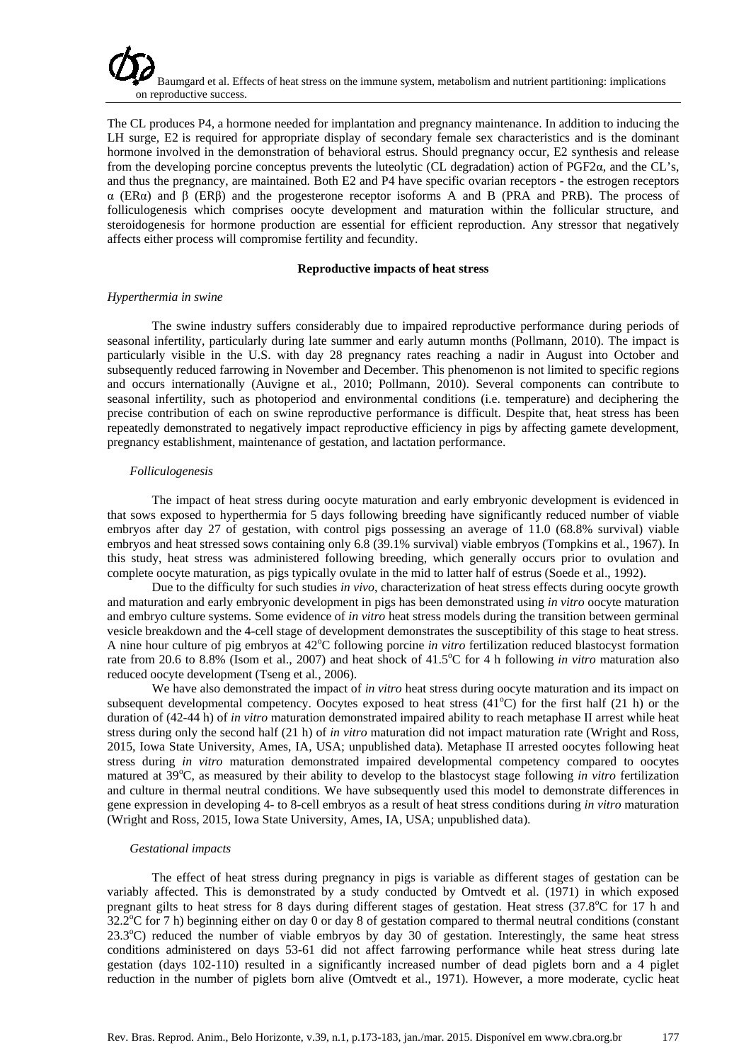

The CL produces P4, a hormone needed for implantation and pregnancy maintenance. In addition to inducing the LH surge, E2 is required for appropriate display of secondary female sex characteristics and is the dominant hormone involved in the demonstration of behavioral estrus. Should pregnancy occur, E2 synthesis and release from the developing porcine conceptus prevents the luteolytic (CL degradation) action of PGF2α, and the CL's, and thus the pregnancy, are maintained. Both E2 and P4 have specific ovarian receptors - the estrogen receptors α (ERα) and β (ERβ) and the progesterone receptor isoforms A and B (PRA and PRB). The process of folliculogenesis which comprises oocyte development and maturation within the follicular structure, and steroidogenesis for hormone production are essential for efficient reproduction. Any stressor that negatively affects either process will compromise fertility and fecundity.

#### **Reproductive impacts of heat stress**

### *Hyperthermia in swine*

The swine industry suffers considerably due to impaired reproductive performance during periods of seasonal infertility, particularly during late summer and early autumn months (Pollmann, 2010). The impact is particularly visible in the U.S. with day 28 pregnancy rates reaching a nadir in August into October and subsequently reduced farrowing in November and December. This phenomenon is not limited to specific regions and occurs internationally (Auvigne et al*.*, 2010; Pollmann, 2010). Several components can contribute to seasonal infertility, such as photoperiod and environmental conditions (i.e. temperature) and deciphering the precise contribution of each on swine reproductive performance is difficult. Despite that, heat stress has been repeatedly demonstrated to negatively impact reproductive efficiency in pigs by affecting gamete development, pregnancy establishment, maintenance of gestation, and lactation performance.

#### *Folliculogenesis*

The impact of heat stress during oocyte maturation and early embryonic development is evidenced in that sows exposed to hyperthermia for 5 days following breeding have significantly reduced number of viable embryos after day 27 of gestation, with control pigs possessing an average of 11.0 (68.8% survival) viable embryos and heat stressed sows containing only 6.8 (39.1% survival) viable embryos (Tompkins et al*.*, 1967). In this study, heat stress was administered following breeding, which generally occurs prior to ovulation and complete oocyte maturation, as pigs typically ovulate in the mid to latter half of estrus (Soede et al., 1992).

Due to the difficulty for such studies *in vivo*, characterization of heat stress effects during oocyte growth and maturation and early embryonic development in pigs has been demonstrated using *in vitro* oocyte maturation and embryo culture systems. Some evidence of *in vitro* heat stress models during the transition between germinal vesicle breakdown and the 4-cell stage of development demonstrates the susceptibility of this stage to heat stress. A nine hour culture of pig embryos at 42°C following porcine *in vitro* fertilization reduced blastocyst formation rate from 20.6 to 8.8% (Isom et al., 2007) and heat shock of 41.5°C for 4 h following *in vitro* maturation also reduced oocyte development (Tseng et al*.*, 2006).

We have also demonstrated the impact of *in vitro* heat stress during oocyte maturation and its impact on subsequent developmental competency. Oocytes exposed to heat stress  $(41^{\circ}C)$  for the first half  $(21 h)$  or the duration of (42-44 h) of *in vitro* maturation demonstrated impaired ability to reach metaphase II arrest while heat stress during only the second half (21 h) of *in vitro* maturation did not impact maturation rate (Wright and Ross, 2015, Iowa State University, Ames, IA, USA; unpublished data). Metaphase II arrested oocytes following heat stress during *in vitro* maturation demonstrated impaired developmental competency compared to oocytes matured at 39°C, as measured by their ability to develop to the blastocyst stage following *in vitro* fertilization and culture in thermal neutral conditions. We have subsequently used this model to demonstrate differences in gene expression in developing 4- to 8-cell embryos as a result of heat stress conditions during *in vitro* maturation (Wright and Ross, 2015, Iowa State University, Ames, IA, USA; unpublished data).

### *Gestational impacts*

The effect of heat stress during pregnancy in pigs is variable as different stages of gestation can be variably affected. This is demonstrated by a study conducted by Omtvedt et al. (1971) in which exposed pregnant gilts to heat stress for 8 days during different stages of gestation. Heat stress (37.8°C for 17 h and  $32.2^{\circ}$ C for 7 h) beginning either on day 0 or day 8 of gestation compared to thermal neutral conditions (constant 23.3°C) reduced the number of viable embryos by day 30 of gestation. Interestingly, the same heat stress conditions administered on days 53-61 did not affect farrowing performance while heat stress during late gestation (days 102-110) resulted in a significantly increased number of dead piglets born and a 4 piglet reduction in the number of piglets born alive (Omtvedt et al., 1971). However, a more moderate, cyclic heat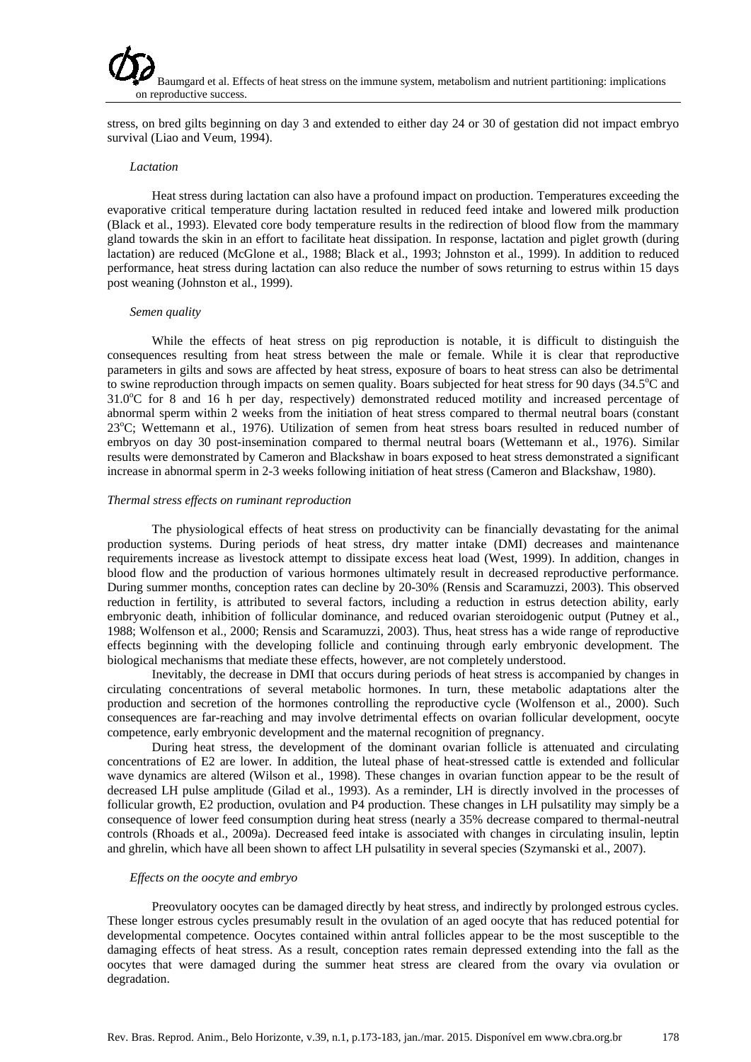stress, on bred gilts beginning on day 3 and extended to either day 24 or 30 of gestation did not impact embryo survival (Liao and Veum, 1994).

### *Lactation*

Heat stress during lactation can also have a profound impact on production. Temperatures exceeding the evaporative critical temperature during lactation resulted in reduced feed intake and lowered milk production (Black et al., 1993). Elevated core body temperature results in the redirection of blood flow from the mammary gland towards the skin in an effort to facilitate heat dissipation. In response, lactation and piglet growth (during lactation) are reduced (McGlone et al., 1988; Black et al., 1993; Johnston et al., 1999). In addition to reduced performance, heat stress during lactation can also reduce the number of sows returning to estrus within 15 days post weaning (Johnston et al., 1999).

#### *Semen quality*

While the effects of heat stress on pig reproduction is notable, it is difficult to distinguish the consequences resulting from heat stress between the male or female. While it is clear that reproductive parameters in gilts and sows are affected by heat stress, exposure of boars to heat stress can also be detrimental to swine reproduction through impacts on semen quality. Boars subjected for heat stress for 90 days (34.5°C and 31.0°C for 8 and 16 h per day, respectively) demonstrated reduced motility and increased percentage of abnormal sperm within 2 weeks from the initiation of heat stress compared to thermal neutral boars (constant 23°C; Wettemann et al., 1976). Utilization of semen from heat stress boars resulted in reduced number of embryos on day 30 post-insemination compared to thermal neutral boars (Wettemann et al., 1976). Similar results were demonstrated by Cameron and Blackshaw in boars exposed to heat stress demonstrated a significant increase in abnormal sperm in 2-3 weeks following initiation of heat stress (Cameron and Blackshaw, 1980).

#### *Thermal stress effects on ruminant reproduction*

The physiological effects of heat stress on productivity can be financially devastating for the animal production systems. During periods of heat stress, dry matter intake (DMI) decreases and maintenance requirements increase as livestock attempt to dissipate excess heat load (West, 1999). In addition, changes in blood flow and the production of various hormones ultimately result in decreased reproductive performance. During summer months, conception rates can decline by 20-30% (Rensis and Scaramuzzi, 2003). This observed reduction in fertility, is attributed to several factors, including a reduction in estrus detection ability, early embryonic death, inhibition of follicular dominance, and reduced ovarian steroidogenic output (Putney et al., 1988; Wolfenson et al., 2000; Rensis and Scaramuzzi, 2003). Thus, heat stress has a wide range of reproductive effects beginning with the developing follicle and continuing through early embryonic development. The biological mechanisms that mediate these effects, however, are not completely understood.

Inevitably, the decrease in DMI that occurs during periods of heat stress is accompanied by changes in circulating concentrations of several metabolic hormones. In turn, these metabolic adaptations alter the production and secretion of the hormones controlling the reproductive cycle (Wolfenson et al., 2000). Such consequences are far-reaching and may involve detrimental effects on ovarian follicular development, oocyte competence, early embryonic development and the maternal recognition of pregnancy.

During heat stress, the development of the dominant ovarian follicle is attenuated and circulating concentrations of E2 are lower. In addition, the luteal phase of heat-stressed cattle is extended and follicular wave dynamics are altered (Wilson et al., 1998). These changes in ovarian function appear to be the result of decreased LH pulse amplitude (Gilad et al., 1993). As a reminder, LH is directly involved in the processes of follicular growth, E2 production, ovulation and P4 production. These changes in LH pulsatility may simply be a consequence of lower feed consumption during heat stress (nearly a 35% decrease compared to thermal-neutral controls (Rhoads et al., 2009a). Decreased feed intake is associated with changes in circulating insulin, leptin and ghrelin, which have all been shown to affect LH pulsatility in several species (Szymanski et al., 2007).

#### *Effects on the oocyte and embryo*

Preovulatory oocytes can be damaged directly by heat stress, and indirectly by prolonged estrous cycles. These longer estrous cycles presumably result in the ovulation of an aged oocyte that has reduced potential for developmental competence. Oocytes contained within antral follicles appear to be the most susceptible to the damaging effects of heat stress. As a result, conception rates remain depressed extending into the fall as the oocytes that were damaged during the summer heat stress are cleared from the ovary via ovulation or degradation.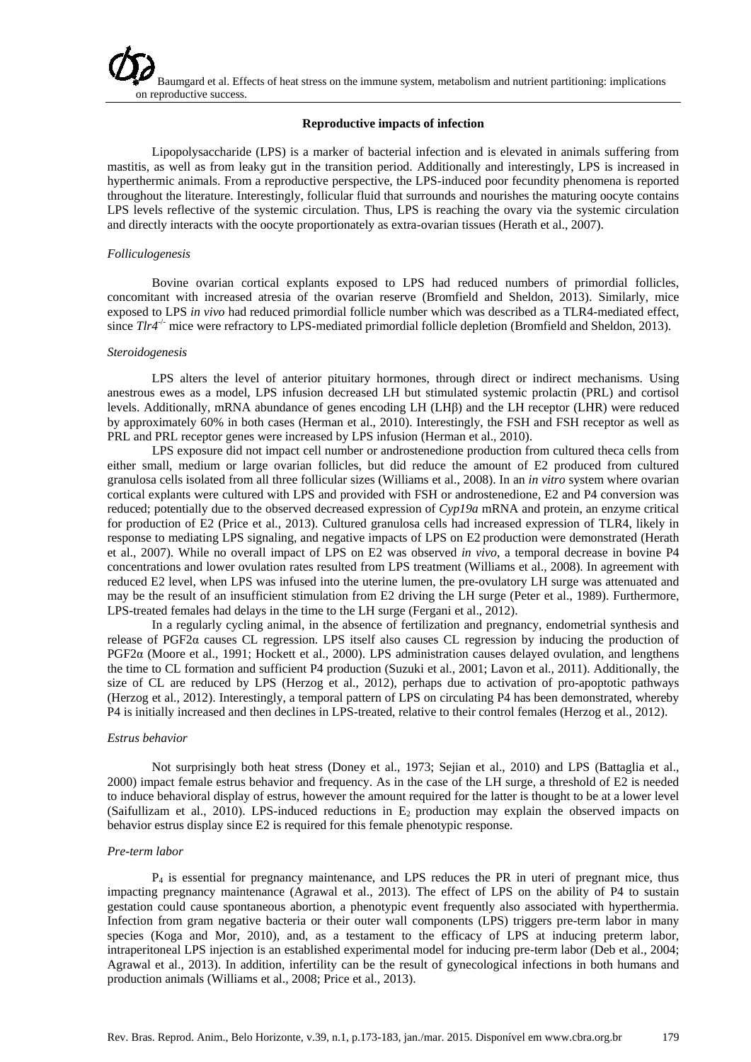# **Reproductive impacts of infection**

Lipopolysaccharide (LPS) is a marker of bacterial infection and is elevated in animals suffering from mastitis, as well as from leaky gut in the transition period. Additionally and interestingly, LPS is increased in hyperthermic animals. From a reproductive perspective, the LPS-induced poor fecundity phenomena is reported throughout the literature. Interestingly, follicular fluid that surrounds and nourishes the maturing oocyte contains LPS levels reflective of the systemic circulation. Thus, LPS is reaching the ovary via the systemic circulation and directly interacts with the oocyte proportionately as extra-ovarian tissues (Herath et al., 2007).

### *Folliculogenesis*

Bovine ovarian cortical explants exposed to LPS had reduced numbers of primordial follicles, concomitant with increased atresia of the ovarian reserve (Bromfield and Sheldon, 2013). Similarly, mice exposed to LPS *in vivo* had reduced primordial follicle number which was described as a TLR4-mediated effect, since *Tlr4<sup>-/-</sup>* mice were refractory to LPS-mediated primordial follicle depletion (Bromfield and Sheldon, 2013).

#### *Steroidogenesis*

LPS alters the level of anterior pituitary hormones, through direct or indirect mechanisms. Using anestrous ewes as a model, LPS infusion decreased LH but stimulated systemic prolactin (PRL) and cortisol levels. Additionally, mRNA abundance of genes encoding LH (LHβ) and the LH receptor (LHR) were reduced by approximately 60% in both cases (Herman et al., 2010). Interestingly, the FSH and FSH receptor as well as PRL and PRL receptor genes were increased by LPS infusion (Herman et al., 2010).

LPS exposure did not impact cell number or androstenedione production from cultured theca cells from either small, medium or large ovarian follicles, but did reduce the amount of E2 produced from cultured granulosa cells isolated from all three follicular sizes (Williams et al., 2008). In an *in vitro* system where ovarian cortical explants were cultured with LPS and provided with FSH or androstenedione, E2 and P4 conversion was reduced; potentially due to the observed decreased expression of *Cyp19a* mRNA and protein, an enzyme critical for production of E2 (Price et al., 2013). Cultured granulosa cells had increased expression of TLR4, likely in response to mediating LPS signaling, and negative impacts of LPS on E2 production were demonstrated (Herath et al., 2007). While no overall impact of LPS on E2 was observed *in vivo*, a temporal decrease in bovine P4 concentrations and lower ovulation rates resulted from LPS treatment (Williams et al., 2008). In agreement with reduced E2 level, when LPS was infused into the uterine lumen, the pre-ovulatory LH surge was attenuated and may be the result of an insufficient stimulation from E2 driving the LH surge (Peter et al., 1989). Furthermore, LPS-treated females had delays in the time to the LH surge (Fergani et al., 2012).

In a regularly cycling animal, in the absence of fertilization and pregnancy, endometrial synthesis and release of PGF2α causes CL regression. LPS itself also causes CL regression by inducing the production of PGF2α (Moore et al., 1991; Hockett et al., 2000). LPS administration causes delayed ovulation, and lengthens the time to CL formation and sufficient P4 production (Suzuki et al., 2001; Lavon et al., 2011). Additionally, the size of CL are reduced by LPS (Herzog et al., 2012), perhaps due to activation of pro-apoptotic pathways (Herzog et al., 2012). Interestingly, a temporal pattern of LPS on circulating P4 has been demonstrated, whereby P4 is initially increased and then declines in LPS-treated, relative to their control females (Herzog et al., 2012).

#### *Estrus behavior*

Not surprisingly both heat stress (Doney et al., 1973; Sejian et al., 2010) and LPS (Battaglia et al., 2000) impact female estrus behavior and frequency. As in the case of the LH surge, a threshold of E2 is needed to induce behavioral display of estrus, however the amount required for the latter is thought to be at a lower level (Saifullizam et al., 2010). LPS-induced reductions in  $E<sub>2</sub>$  production may explain the observed impacts on behavior estrus display since E2 is required for this female phenotypic response.

#### *Pre-term labor*

 $P_4$  is essential for pregnancy maintenance, and LPS reduces the PR in uteri of pregnant mice, thus impacting pregnancy maintenance (Agrawal et al., 2013). The effect of LPS on the ability of P4 to sustain gestation could cause spontaneous abortion, a phenotypic event frequently also associated with hyperthermia. Infection from gram negative bacteria or their outer wall components (LPS) triggers pre-term labor in many species (Koga and Mor, 2010), and, as a testament to the efficacy of LPS at inducing preterm labor, intraperitoneal LPS injection is an established experimental model for inducing pre-term labor (Deb et al., 2004; Agrawal et al., 2013). In addition, infertility can be the result of gynecological infections in both humans and production animals (Williams et al., 2008; Price et al., 2013).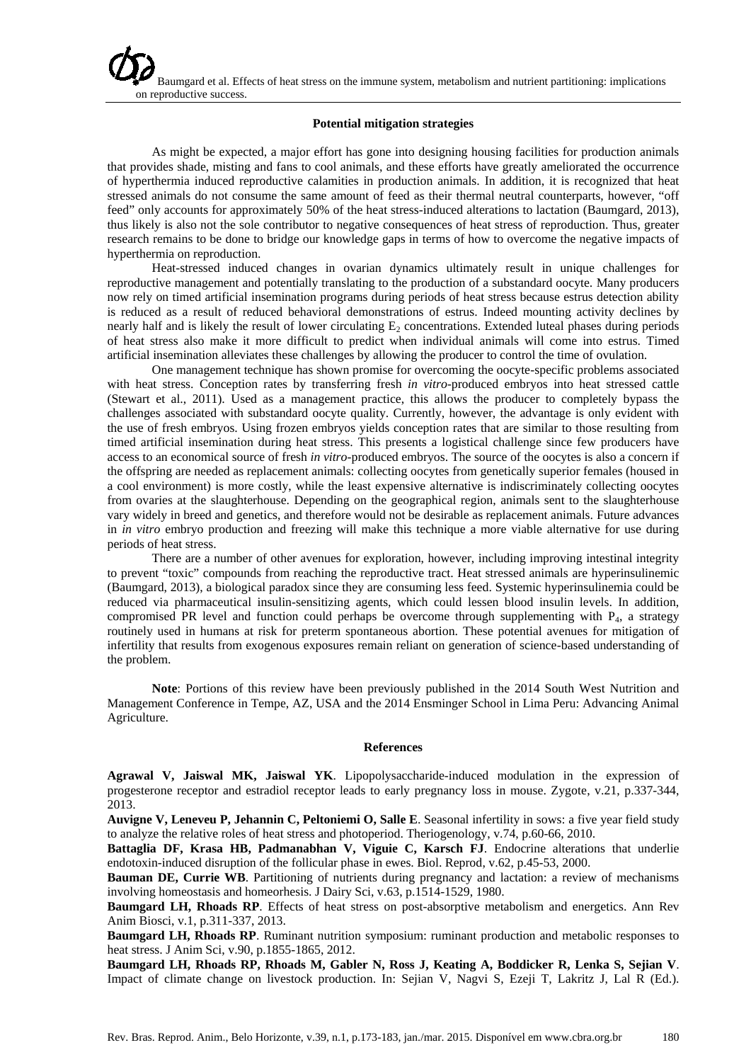# **Potential mitigation strategies**

As might be expected, a major effort has gone into designing housing facilities for production animals that provides shade, misting and fans to cool animals, and these efforts have greatly ameliorated the occurrence of hyperthermia induced reproductive calamities in production animals. In addition, it is recognized that heat stressed animals do not consume the same amount of feed as their thermal neutral counterparts, however, "off feed" only accounts for approximately 50% of the heat stress-induced alterations to lactation (Baumgard, 2013), thus likely is also not the sole contributor to negative consequences of heat stress of reproduction. Thus, greater research remains to be done to bridge our knowledge gaps in terms of how to overcome the negative impacts of hyperthermia on reproduction.

Heat-stressed induced changes in ovarian dynamics ultimately result in unique challenges for reproductive management and potentially translating to the production of a substandard oocyte. Many producers now rely on timed artificial insemination programs during periods of heat stress because estrus detection ability is reduced as a result of reduced behavioral demonstrations of estrus. Indeed mounting activity declines by nearly half and is likely the result of lower circulating  $E_2$  concentrations. Extended luteal phases during periods of heat stress also make it more difficult to predict when individual animals will come into estrus. Timed artificial insemination alleviates these challenges by allowing the producer to control the time of ovulation.

One management technique has shown promise for overcoming the oocyte-specific problems associated with heat stress. Conception rates by transferring fresh *in vitro*-produced embryos into heat stressed cattle (Stewart et al., 2011). Used as a management practice, this allows the producer to completely bypass the challenges associated with substandard oocyte quality. Currently, however, the advantage is only evident with the use of fresh embryos. Using frozen embryos yields conception rates that are similar to those resulting from timed artificial insemination during heat stress. This presents a logistical challenge since few producers have access to an economical source of fresh *in vitro*-produced embryos. The source of the oocytes is also a concern if the offspring are needed as replacement animals: collecting oocytes from genetically superior females (housed in a cool environment) is more costly, while the least expensive alternative is indiscriminately collecting oocytes from ovaries at the slaughterhouse. Depending on the geographical region, animals sent to the slaughterhouse vary widely in breed and genetics, and therefore would not be desirable as replacement animals. Future advances in *in vitro* embryo production and freezing will make this technique a more viable alternative for use during periods of heat stress.

There are a number of other avenues for exploration, however, including improving intestinal integrity to prevent "toxic" compounds from reaching the reproductive tract. Heat stressed animals are hyperinsulinemic (Baumgard, 2013), a biological paradox since they are consuming less feed. Systemic hyperinsulinemia could be reduced via pharmaceutical insulin-sensitizing agents, which could lessen blood insulin levels. In addition, compromised PR level and function could perhaps be overcome through supplementing with P4, a strategy routinely used in humans at risk for preterm spontaneous abortion. These potential avenues for mitigation of infertility that results from exogenous exposures remain reliant on generation of science-based understanding of the problem.

**Note**: Portions of this review have been previously published in the 2014 South West Nutrition and Management Conference in Tempe, AZ, USA and the 2014 Ensminger School in Lima Peru: Advancing Animal Agriculture.

### **References**

**Agrawal V, Jaiswal MK, Jaiswal YK**. Lipopolysaccharide-induced modulation in the expression of progesterone receptor and estradiol receptor leads to early pregnancy loss in mouse. Zygote, v.21, p.337-344, 2013.

**Auvigne V, Leneveu P, Jehannin C, Peltoniemi O, Salle E**. Seasonal infertility in sows: a five year field study to analyze the relative roles of heat stress and photoperiod. Theriogenology, v.74, p.60-66, 2010.

**Battaglia DF, Krasa HB, Padmanabhan V, Viguie C, Karsch FJ**. Endocrine alterations that underlie endotoxin-induced disruption of the follicular phase in ewes. Biol. Reprod, v.62, p.45-53, 2000.

**Bauman DE, Currie WB**. Partitioning of nutrients during pregnancy and lactation: a review of mechanisms involving homeostasis and homeorhesis. J Dairy Sci, v.63, p.1514-1529, 1980.

**Baumgard LH, Rhoads RP**. Effects of heat stress on post-absorptive metabolism and energetics. Ann Rev Anim Biosci, v.1, p.311-337, 2013.

**Baumgard LH, Rhoads RP**. Ruminant nutrition symposium: ruminant production and metabolic responses to heat stress. J Anim Sci, v.90, p.1855-1865, 2012.

**Baumgard LH, Rhoads RP, Rhoads M, Gabler N, Ross J, Keating A, Boddicker R, Lenka S, Sejian V**. Impact of climate change on livestock production. In: Sejian V, Nagvi S, Ezeji T, Lakritz J, Lal R (Ed.).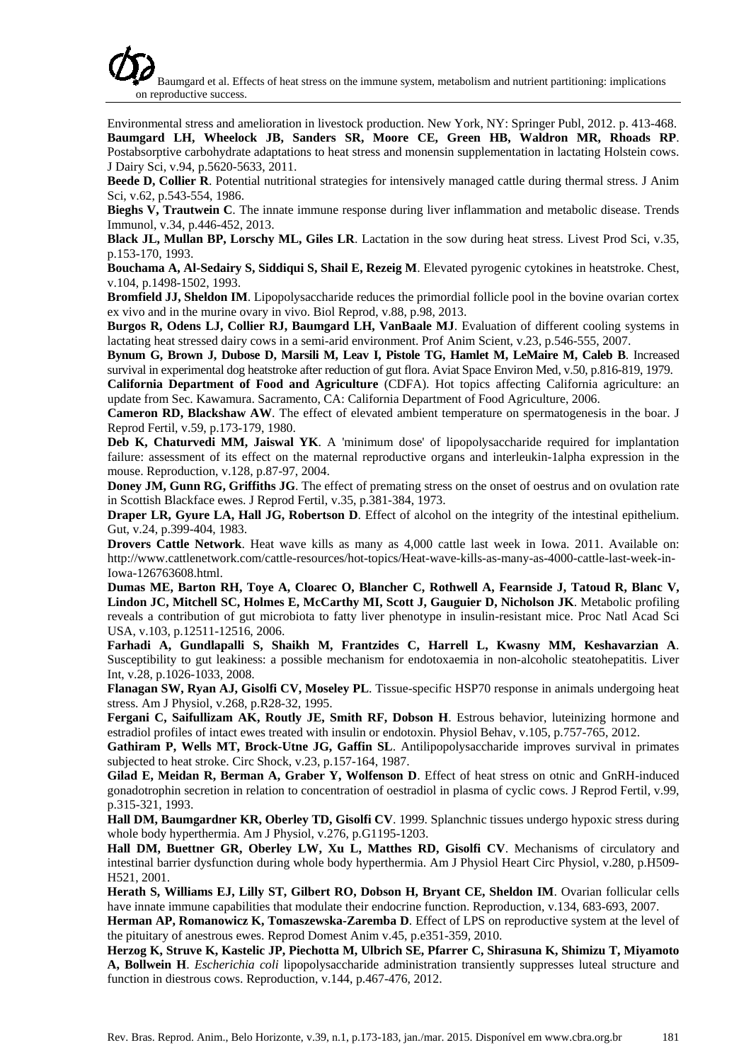Environmental stress and amelioration in livestock production. New York, NY: Springer Publ, 2012. p. 413-468. **Baumgard LH, Wheelock JB, Sanders SR, Moore CE, Green HB, Waldron MR, Rhoads RP**. Postabsorptive carbohydrate adaptations to heat stress and monensin supplementation in lactating Holstein cows. J Dairy Sci, v.94, p.5620-5633, 2011.

**Beede D, Collier R**. Potential nutritional strategies for intensively managed cattle during thermal stress. J Anim Sci, v.62, p.543-554, 1986.

**Bieghs V, Trautwein C**. The innate immune response during liver inflammation and metabolic disease. Trends Immunol, v.34, p.446-452, 2013.

**Black JL, Mullan BP, Lorschy ML, Giles LR**. Lactation in the sow during heat stress. Livest Prod Sci, v.35, p.153-170, 1993.

**Bouchama A, Al-Sedairy S, Siddiqui S, Shail E, Rezeig M**. Elevated pyrogenic cytokines in heatstroke. Chest, v.104, p.1498-1502, 1993.

**Bromfield JJ, Sheldon IM**. Lipopolysaccharide reduces the primordial follicle pool in the bovine ovarian cortex ex vivo and in the murine ovary in vivo. Biol Reprod, v.88, p.98, 2013.

**Burgos R, Odens LJ, Collier RJ, Baumgard LH, VanBaale MJ**. Evaluation of different cooling systems in lactating heat stressed dairy cows in a semi-arid environment. Prof Anim Scient, v.23, p.546-555, 2007.

**Bynum G, Brown J, Dubose D, Marsili M, Leav I, Pistole TG, Hamlet M, LeMaire M, Caleb B**. Increased survival in experimental dog heatstroke after reduction of gut flora. Aviat Space Environ Med, v.50, p.816-819, 1979.

**California Department of Food and Agriculture** (CDFA). Hot topics affecting California agriculture: an update from Sec. Kawamura. Sacramento, CA: California Department of Food Agriculture, 2006.

**Cameron RD, Blackshaw AW**. The effect of elevated ambient temperature on spermatogenesis in the boar. J Reprod Fertil, v.59, p.173-179, 1980.

**Deb K, Chaturvedi MM, Jaiswal YK**. A 'minimum dose' of lipopolysaccharide required for implantation failure: assessment of its effect on the maternal reproductive organs and interleukin-1alpha expression in the mouse. Reproduction, v.128, p.87-97, 2004.

**Doney JM, Gunn RG, Griffiths JG**. The effect of premating stress on the onset of oestrus and on ovulation rate in Scottish Blackface ewes. J Reprod Fertil, v.35, p.381-384, 1973.

**Draper LR, Gyure LA, Hall JG, Robertson D**. Effect of alcohol on the integrity of the intestinal epithelium. Gut, v.24, p.399-404, 1983.

**Drovers Cattle Network**. Heat wave kills as many as 4,000 cattle last week in Iowa. 2011. Available on: http://www.cattlenetwork.com/cattle-resources/hot-topics/Heat-wave-kills-as-many-as-4000-cattle-last-week-in-Iowa-126763608.html.

**Dumas ME, Barton RH, Toye A, Cloarec O, Blancher C, Rothwell A, Fearnside J, Tatoud R, Blanc V, Lindon JC, Mitchell SC, Holmes E, McCarthy MI, Scott J, Gauguier D, Nicholson JK**. Metabolic profiling reveals a contribution of gut microbiota to fatty liver phenotype in insulin-resistant mice. Proc Natl Acad Sci USA, v.103, p.12511-12516, 2006.

**Farhadi A, Gundlapalli S, Shaikh M, Frantzides C, Harrell L, Kwasny MM, Keshavarzian A**. Susceptibility to gut leakiness: a possible mechanism for endotoxaemia in non-alcoholic steatohepatitis. Liver Int, v.28, p.1026-1033, 2008.

**Flanagan SW, Ryan AJ, Gisolfi CV, Moseley PL**. Tissue-specific HSP70 response in animals undergoing heat stress. Am J Physiol, v.268, p.R28-32, 1995.

**Fergani C, Saifullizam AK, Routly JE, Smith RF, Dobson H**. Estrous behavior, luteinizing hormone and estradiol profiles of intact ewes treated with insulin or endotoxin. Physiol Behav, v.105, p.757-765, 2012.

**Gathiram P, Wells MT, Brock-Utne JG, Gaffin SL**. Antilipopolysaccharide improves survival in primates subjected to heat stroke. Circ Shock, v.23, p.157-164, 1987.

**Gilad E, Meidan R, Berman A, Graber Y, Wolfenson D**. Effect of heat stress on otnic and GnRH-induced gonadotrophin secretion in relation to concentration of oestradiol in plasma of cyclic cows. J Reprod Fertil, v.99, p.315-321, 1993.

**Hall DM, Baumgardner KR, Oberley TD, Gisolfi CV**. 1999. Splanchnic tissues undergo hypoxic stress during whole body hyperthermia. Am J Physiol, v.276, p.G1195-1203.

**Hall DM, Buettner GR, Oberley LW, Xu L, Matthes RD, Gisolfi CV**. Mechanisms of circulatory and intestinal barrier dysfunction during whole body hyperthermia. Am J Physiol Heart Circ Physiol, v.280, p.H509- H521, 2001.

**Herath S, Williams EJ, Lilly ST, Gilbert RO, Dobson H, Bryant CE, Sheldon IM**. Ovarian follicular cells have innate immune capabilities that modulate their endocrine function. Reproduction, v.134, 683-693, 2007.

**Herman AP, Romanowicz K, Tomaszewska-Zaremba D**. Effect of LPS on reproductive system at the level of the pituitary of anestrous ewes. Reprod Domest Anim v.45, p.e351-359, 2010.

**Herzog K, Struve K, Kastelic JP, Piechotta M, Ulbrich SE, Pfarrer C, Shirasuna K, Shimizu T, Miyamoto A, Bollwein H**. *Escherichia coli* lipopolysaccharide administration transiently suppresses luteal structure and function in diestrous cows. Reproduction, v.144, p.467-476, 2012.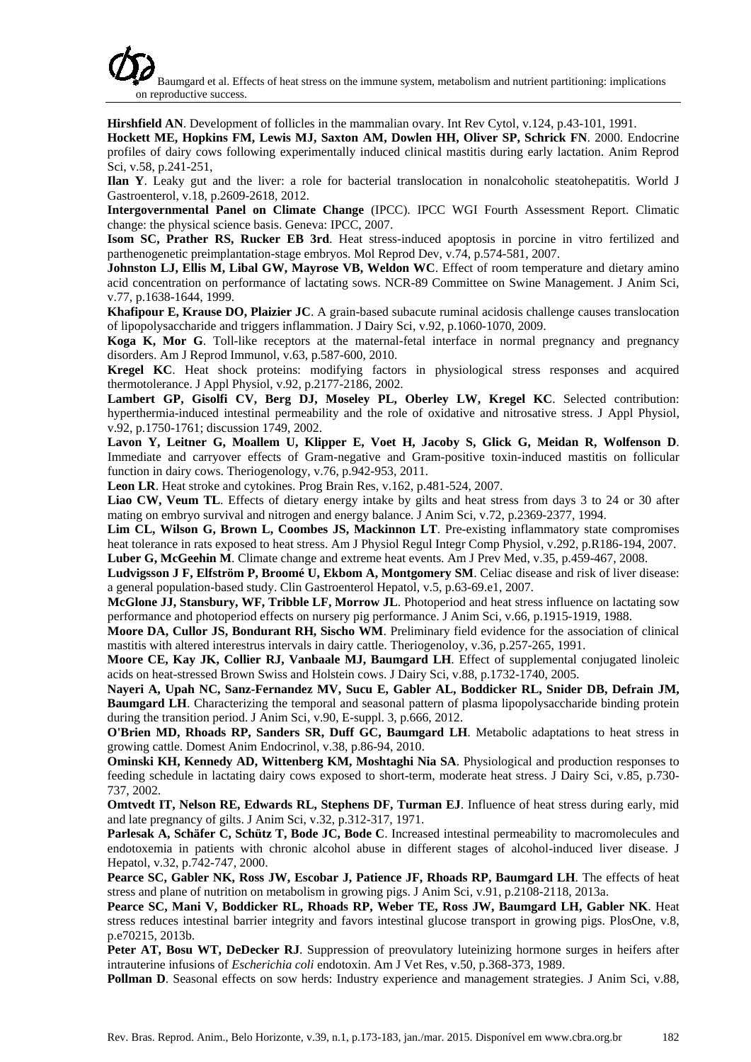Baumgard et al. Effects of heat stress on the immune system, metabolism and nutrient partitioning: implications on reproductive success.

**Hirshfield AN**. Development of follicles in the mammalian ovary. Int Rev Cytol, v.124, p.43-101, 1991.

**Hockett ME, Hopkins FM, Lewis MJ, Saxton AM, Dowlen HH, Oliver SP, Schrick FN**. 2000. Endocrine profiles of dairy cows following experimentally induced clinical mastitis during early lactation. Anim Reprod Sci, v.58, p.241-251,

**Ilan Y**. Leaky gut and the liver: a role for bacterial translocation in nonalcoholic steatohepatitis. World J Gastroenterol, v.18, p.2609-2618, 2012.

**Intergovernmental Panel on Climate Change** (IPCC). IPCC WGI Fourth Assessment Report. Climatic change: the physical science basis. Geneva: IPCC, 2007.

**Isom SC, Prather RS, Rucker EB 3rd**. Heat stress-induced apoptosis in porcine in vitro fertilized and parthenogenetic preimplantation-stage embryos. Mol Reprod Dev, v.74, p.574-581, 2007.

**Johnston LJ, Ellis M, Libal GW, Mayrose VB, Weldon WC**. Effect of room temperature and dietary amino acid concentration on performance of lactating sows. NCR-89 Committee on Swine Management. J Anim Sci, v.77, p.1638-1644, 1999.

**Khafipour E, Krause DO, Plaizier JC**. A grain-based subacute ruminal acidosis challenge causes translocation of lipopolysaccharide and triggers inflammation. J Dairy Sci, v.92, p.1060-1070, 2009.

**Koga K, Mor G**. Toll-like receptors at the maternal-fetal interface in normal pregnancy and pregnancy disorders. Am J Reprod Immunol, v.63, p.587-600, 2010.

**Kregel KC**. Heat shock proteins: modifying factors in physiological stress responses and acquired thermotolerance. J Appl Physiol, v.92, p.2177-2186, 2002.

**Lambert GP, Gisolfi CV, Berg DJ, Moseley PL, Oberley LW, Kregel KC**. Selected contribution: hyperthermia-induced intestinal permeability and the role of oxidative and nitrosative stress. J Appl Physiol, v.92, p.1750-1761; discussion 1749, 2002.

**Lavon Y, Leitner G, Moallem U, Klipper E, Voet H, Jacoby S, Glick G, Meidan R, Wolfenson D**. Immediate and carryover effects of Gram-negative and Gram-positive toxin-induced mastitis on follicular function in dairy cows. Theriogenology, v.76, p.942-953, 2011.

**Leon LR**. Heat stroke and cytokines. Prog Brain Res, v.162, p.481-524, 2007.

**Liao CW, Veum TL**. Effects of dietary energy intake by gilts and heat stress from days 3 to 24 or 30 after mating on embryo survival and nitrogen and energy balance. J Anim Sci, v.72, p.2369-2377, 1994.

**Lim CL, Wilson G, Brown L, Coombes JS, Mackinnon LT**. Pre-existing inflammatory state compromises heat tolerance in rats exposed to heat stress. Am J Physiol Regul Integr Comp Physiol, v.292, p.R186-194, 2007.

**Luber G, McGeehin M**. Climate change and extreme heat events. Am J Prev Med, v.35, p.459-467, 2008.

**Ludvigsson J F, Elfström P, Broomé U, Ekbom A, Montgomery SM**. Celiac disease and risk of liver disease: a general population-based study. Clin Gastroenterol Hepatol, v.5, p.63-69.e1, 2007.

**McGlone JJ, Stansbury, WF, Tribble LF, Morrow JL**. Photoperiod and heat stress influence on lactating sow performance and photoperiod effects on nursery pig performance. J Anim Sci, v.66, p.1915-1919, 1988.

**Moore DA, Cullor JS, Bondurant RH, Sischo WM**. Preliminary field evidence for the association of clinical mastitis with altered interestrus intervals in dairy cattle. Theriogenoloy, v.36, p.257-265, 1991.

**Moore CE, Kay JK, Collier RJ, Vanbaale MJ, Baumgard LH**. Effect of supplemental conjugated linoleic acids on heat-stressed Brown Swiss and Holstein cows. J Dairy Sci, v.88, p.1732-1740, 2005.

**Nayeri A, Upah NC, Sanz-Fernandez MV, Sucu E, Gabler AL, Boddicker RL, Snider DB, Defrain JM, Baumgard LH**. Characterizing the temporal and seasonal pattern of plasma lipopolysaccharide binding protein during the transition period. J Anim Sci, v.90, E-suppl. 3, p.666, 2012.

**O'Brien MD, Rhoads RP, Sanders SR, Duff GC, Baumgard LH**. Metabolic adaptations to heat stress in growing cattle. Domest Anim Endocrinol, v.38, p.86-94, 2010.

**Ominski KH, Kennedy AD, Wittenberg KM, Moshtaghi Nia SA**. Physiological and production responses to feeding schedule in lactating dairy cows exposed to short-term, moderate heat stress. J Dairy Sci, v.85, p.730- 737, 2002.

**Omtvedt IT, Nelson RE, Edwards RL, Stephens DF, Turman EJ**. Influence of heat stress during early, mid and late pregnancy of gilts. J Anim Sci, v.32, p.312-317, 1971.

**Parlesak A, Schäfer C, Schütz T, Bode JC, Bode C**. Increased intestinal permeability to macromolecules and endotoxemia in patients with chronic alcohol abuse in different stages of alcohol-induced liver disease. J Hepatol, v.32, p.742-747, 2000.

**Pearce SC, Gabler NK, Ross JW, Escobar J, Patience JF, Rhoads RP, Baumgard LH**. The effects of heat stress and plane of nutrition on metabolism in growing pigs. J Anim Sci, v.91, p.2108-2118, 2013a.

**Pearce SC, Mani V, Boddicker RL, Rhoads RP, Weber TE, Ross JW, Baumgard LH, Gabler NK**. Heat stress reduces intestinal barrier integrity and favors intestinal glucose transport in growing pigs. PlosOne, v.8, p.e70215, 2013b.

**Peter AT, Bosu WT, DeDecker RJ**. Suppression of preovulatory luteinizing hormone surges in heifers after intrauterine infusions of *Escherichia coli* endotoxin. Am J Vet Res, v.50, p.368-373, 1989.

**Pollman D**. Seasonal effects on sow herds: Industry experience and management strategies. J Anim Sci, v.88,